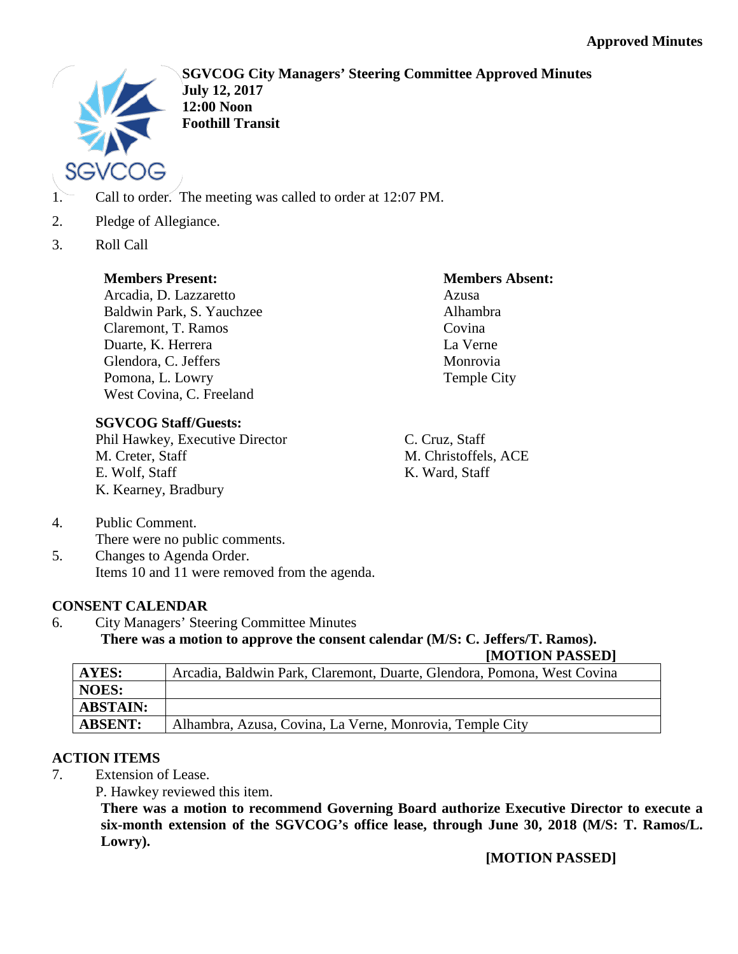

**SGVCOG City Managers' Steering Committee Approved Minutes July 12, 2017 12:00 Noon Foothill Transit**

- 1. Call to order. The meeting was called to order at 12:07 PM.
- 2. Pledge of Allegiance.
- 3. Roll Call

## **Members Present:**

Arcadia, D. Lazzaretto Baldwin Park, S. Yauchzee Claremont, T. Ramos Duarte, K. Herrera Glendora, C. Jeffers Pomona, L. Lowry West Covina, C. Freeland

# **SGVCOG Staff/Guests:**

Phil Hawkey, Executive Director M. Creter, Staff E. Wolf, Staff K. Kearney, Bradbury

## **Members Absent:**

Azusa Alhambra Covina La Verne Monrovia Temple City

C. Cruz, Staff M. Christoffels, ACE K. Ward, Staff

- 4. Public Comment. There were no public comments.
- 5. Changes to Agenda Order. Items 10 and 11 were removed from the agenda.

# **CONSENT CALENDAR**

6. City Managers' Steering Committee Minutes **There was a motion to approve the consent calendar (M/S: C. Jeffers/T. Ramos).**

**[MOTION PASSED]**

| AYES:           | Arcadia, Baldwin Park, Claremont, Duarte, Glendora, Pomona, West Covina |
|-----------------|-------------------------------------------------------------------------|
| NOES:           |                                                                         |
| <b>ABSTAIN:</b> |                                                                         |
| <b>ABSENT:</b>  | Alhambra, Azusa, Covina, La Verne, Monrovia, Temple City                |

# **ACTION ITEMS**

- 7. Extension of Lease.
	- P. Hawkey reviewed this item.

**There was a motion to recommend Governing Board authorize Executive Director to execute a six-month extension of the SGVCOG's office lease, through June 30, 2018 (M/S: T. Ramos/L. Lowry).**

**[MOTION PASSED]**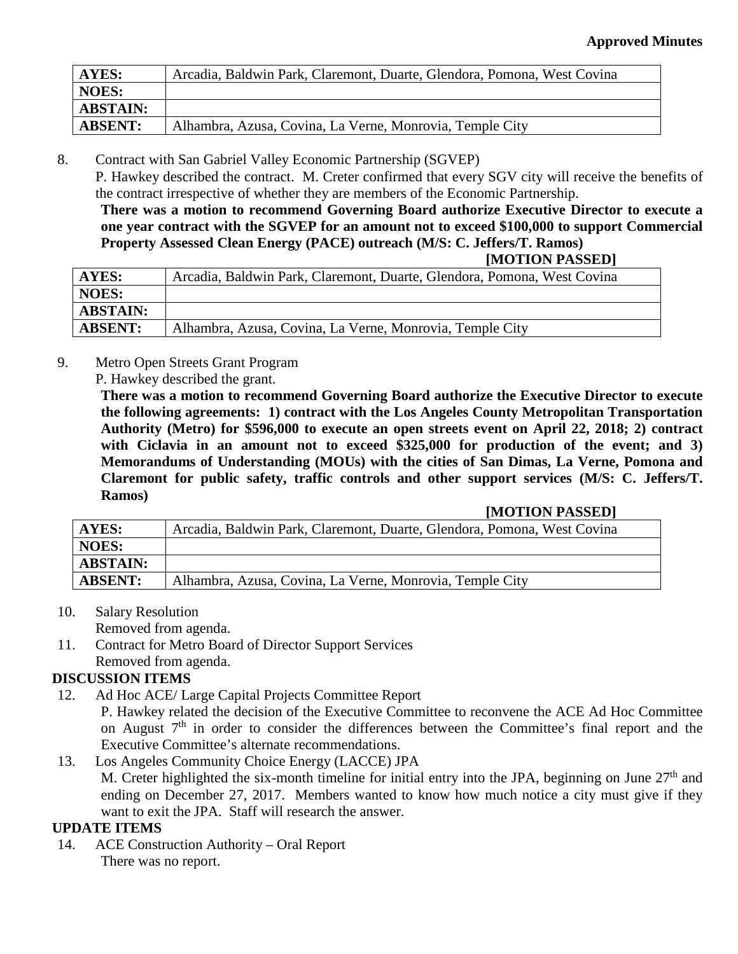| <b>AYES:</b>    | Arcadia, Baldwin Park, Claremont, Duarte, Glendora, Pomona, West Covina |
|-----------------|-------------------------------------------------------------------------|
| NOES:           |                                                                         |
| <b>ABSTAIN:</b> |                                                                         |
| <b>ABSENT:</b>  | Alhambra, Azusa, Covina, La Verne, Monrovia, Temple City                |

8. Contract with San Gabriel Valley Economic Partnership (SGVEP)

P. Hawkey described the contract. M. Creter confirmed that every SGV city will receive the benefits of the contract irrespective of whether they are members of the Economic Partnership.

**There was a motion to recommend Governing Board authorize Executive Director to execute a one year contract with the SGVEP for an amount not to exceed \$100,000 to support Commercial Property Assessed Clean Energy (PACE) outreach (M/S: C. Jeffers/T. Ramos)**

| [MOTION PASSED] |  |
|-----------------|--|
|-----------------|--|

| AYES:           | Arcadia, Baldwin Park, Claremont, Duarte, Glendora, Pomona, West Covina |
|-----------------|-------------------------------------------------------------------------|
| <b>NOES:</b>    |                                                                         |
| <b>ABSTAIN:</b> |                                                                         |
| <b>ABSENT:</b>  | Alhambra, Azusa, Covina, La Verne, Monrovia, Temple City                |

- 9. Metro Open Streets Grant Program
	- P. Hawkey described the grant.

**There was a motion to recommend Governing Board authorize the Executive Director to execute the following agreements: 1) contract with the Los Angeles County Metropolitan Transportation Authority (Metro) for \$596,000 to execute an open streets event on April 22, 2018; 2) contract**  with Ciclavia in an amount not to exceed \$325,000 for production of the event; and 3) **Memorandums of Understanding (MOUs) with the cities of San Dimas, La Verne, Pomona and Claremont for public safety, traffic controls and other support services (M/S: C. Jeffers/T. Ramos)**

#### **[MOTION PASSED]**

| AYES:           | Arcadia, Baldwin Park, Claremont, Duarte, Glendora, Pomona, West Covina |
|-----------------|-------------------------------------------------------------------------|
| <b>NOES:</b>    |                                                                         |
| <b>ABSTAIN:</b> |                                                                         |
| <b>ABSENT:</b>  | Alhambra, Azusa, Covina, La Verne, Monrovia, Temple City                |

10. Salary Resolution

Removed from agenda.

11. Contract for Metro Board of Director Support Services Removed from agenda.

## **DISCUSSION ITEMS**

- 12. Ad Hoc ACE/ Large Capital Projects Committee Report P. Hawkey related the decision of the Executive Committee to reconvene the ACE Ad Hoc Committee on August  $7<sup>th</sup>$  in order to consider the differences between the Committee's final report and the Executive Committee's alternate recommendations.
- 13. Los Angeles Community Choice Energy (LACCE) JPA M. Creter highlighted the six-month timeline for initial entry into the JPA, beginning on June  $27<sup>th</sup>$  and ending on December 27, 2017. Members wanted to know how much notice a city must give if they want to exit the JPA. Staff will research the answer.

## **UPDATE ITEMS**

14. ACE Construction Authority – Oral Report There was no report.